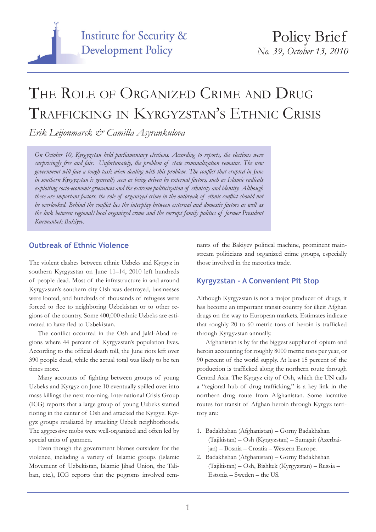

# THE ROLE OF ORGANIZED CRIME AND DRUG Trafficking in Kyrgyzstan's Ethnic Crisis

*Erik Leijonmarck & Camilla Asyrankulova*

*On October 10, Kyrgyzstan held parliamentary elections. According to reports, the elections were surprisingly free and fair. Unfortunately, the problem of state criminalization remains. The new government will face a tough task when dealing with this problem. The conflict that erupted in June in southern Kyrgyzstan is generally seen as being driven by external factors, such as Islamic radicals exploiting socio-economic grievances and the extreme politicization of ethnicity and identity. Although these are important factors, the role of organized crime in the outbreak of ethnic conflict should not be overlooked. Behind the conflict lies the interplay between external and domestic factors as well as the link between regional/local organized crime and the corrupt family politics of former President Kurmanbek Bakiyev.*

## **Outbreak of Ethnic Violence**

The violent clashes between ethnic Uzbeks and Kyrgyz in southern Kyrgyzstan on June 11–14, 2010 left hundreds of people dead. Most of the infrastructure in and around Kyrgyzstan's southern city Osh was destroyed, businesses were looted, and hundreds of thousands of refugees were forced to flee to neighboring Uzbekistan or to other regions of the country. Some 400,000 ethnic Uzbeks are estimated to have fled to Uzbekistan.

The conflict occurred in the Osh and Jalal-Abad regions where 44 percent of Kyrgyzstan's population lives. According to the official death toll, the June riots left over 390 people dead, while the actual total was likely to be ten times more.

Many accounts of fighting between groups of young Uzbeks and Kyrgyz on June 10 eventually spilled over into mass killings the next morning. International Crisis Group (ICG) reports that a large group of young Uzbeks started rioting in the center of Osh and attacked the Kyrgyz. Kyrgyz groups retaliated by attacking Uzbek neighborhoods. The aggressive mobs were well-organized and often led by special units of gunmen.

Even though the government blames outsiders for the violence, including a variety of Islamic groups (Islamic Movement of Uzbekistan, Islamic Jihad Union, the Taliban, etc.), ICG reports that the pogroms involved remnants of the Bakiyev political machine, prominent mainstream politicians and organized crime groups, especially those involved in the narcotics trade.

# **Kyrgyzstan – A Convenient Pit Stop**

Although Kyrgyzstan is not a major producer of drugs, it has become an important transit country for illicit Afghan drugs on the way to European markets. Estimates indicate that roughly 20 to 60 metric tons of heroin is trafficked through Kyrgyzstan annually.

Afghanistan is by far the biggest supplier of opium and heroin accounting for roughly 8000 metric tons per year, or 90 percent of the world supply. At least 15 percent of the production is trafficked along the northern route through Central Asia. The Kyrgyz city of Osh, which the UN calls a "regional hub of drug trafficking," is a key link in the northern drug route from Afghanistan. Some lucrative routes for transit of Afghan heroin through Kyrgyz territory are:

- 1. Badakhshan (Afghanistan) Gorny Badakhshan (Tajikistan) – Osh (Kyrgyzstan) – Sumgait (Azerbaijan) – Bosnia – Croatia – Western Europe.
- 2. Badakhshan (Afghanistan) Gorny Badakhshan (Tajikistan) – Osh, Bishkek (Kyrgyzstan) – Russia – Estonia – Sweden – the US.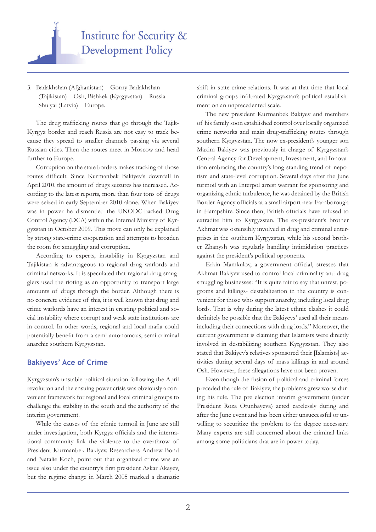

3. Badakhshan (Afghanistan) – Gorny Badakhshan (Tajikistan) – Osh, Bishkek (Kyrgyzstan) – Russia – Shulyai (Latvia) – Europe.

The drug trafficking routes that go through the Tajik-Kyrgyz border and reach Russia are not easy to track because they spread to smaller channels passing via several Russian cities. Then the routes meet in Moscow and head further to Europe.

Corruption on the state borders makes tracking of those routes difficult. Since Kurmanbek Bakiyev's downfall in April 2010, the amount of drugs seizures has increased. According to the latest reports, more than four tons of drugs were seized in early September 2010 alone. When Bakiyev was in power he dismantled the UNODC-backed Drug Control Agency (DCA) within the Internal Ministry of Kyrgyzstan in October 2009. This move can only be explained by strong state-crime cooperation and attempts to broaden the room for smuggling and corruption.

According to experts, instability in Kyrgyzstan and Tajikistan is advantageous to regional drug warlords and criminal networks. It is speculated that regional drug smugglers used the rioting as an opportunity to transport large amounts of drugs through the border. Although there is no concrete evidence of this, it is well known that drug and crime warlords have an interest in creating political and social instability where corrupt and weak state institutions are in control. In other words, regional and local mafia could potentially benefit from a semi-autonomous, semi-criminal anarchic southern Kyrgyzstan.

#### **Bakiyevs' Ace of Crime**

Kyrgyzstan's unstable political situation following the April revolution and the ensuing power crisis was obviously a convenient framework for regional and local criminal groups to challenge the stability in the south and the authority of the interim government.

While the causes of the ethnic turmoil in June are still under investigation, both Kyrgyz officials and the international community link the violence to the overthrow of President Kurmanbek Bakiyev. Researchers Andrew Bond and Natalie Koch, point out that organized crime was an issue also under the country's first president Askar Akayev, but the regime change in March 2005 marked a dramatic

shift in state-crime relations. It was at that time that local criminal groups infiltrated Kyrgyzstan's political establishment on an unprecedented scale.

The new president Kurmanbek Bakiyev and members of his family soon established control over locally organized crime networks and main drug-trafficking routes through southern Kyrgyzstan. The now ex-president's younger son Maxim Bakiyev was previously in charge of Kyrgyzstan's Central Agency for Development, Investment, and Innovation embracing the country's long-standing trend of nepotism and state-level corruption. Several days after the June turmoil with an Interpol arrest warrant for sponsoring and organizing ethnic turbulence, he was detained by the British Border Agency officials at a small airport near Farnborough in Hampshire. Since then, British officials have refused to extradite him to Kyrgyzstan. The ex-president's brother Akhmat was ostensibly involved in drug and criminal enterprises in the southern Kyrgyzstan, while his second brother Zhanysh was regularly handling intimidation practices against the president's political opponents.

Erkin Mamkulov, a government official, stresses that Akhmat Bakiyev used to control local criminality and drug smuggling businesses: "It is quite fair to say that unrest, pogroms and killings- destabilization in the country is convenient for those who support anarchy, including local drug lords. That is why during the latest ethnic clashes it could definitely be possible that the Bakiyevs' used all their means including their connections with drug lords." Moreover, the current government is claiming that Islamists were directly involved in destabilizing southern Kyrgyzstan. They also stated that Bakiyev's relatives sponsored their [Islamists] activities during several days of mass killings in and around Osh. However, these allegations have not been proven.

Even though the fusion of political and criminal forces preceded the rule of Bakiyev, the problems grew worse during his rule. The pre election interim government (under President Roza Otunbayeva) acted carelessly during and after the June event and has been either unsuccessful or unwilling to securitize the problem to the degree necessary. Many experts are still concerned about the criminal links among some politicians that are in power today.